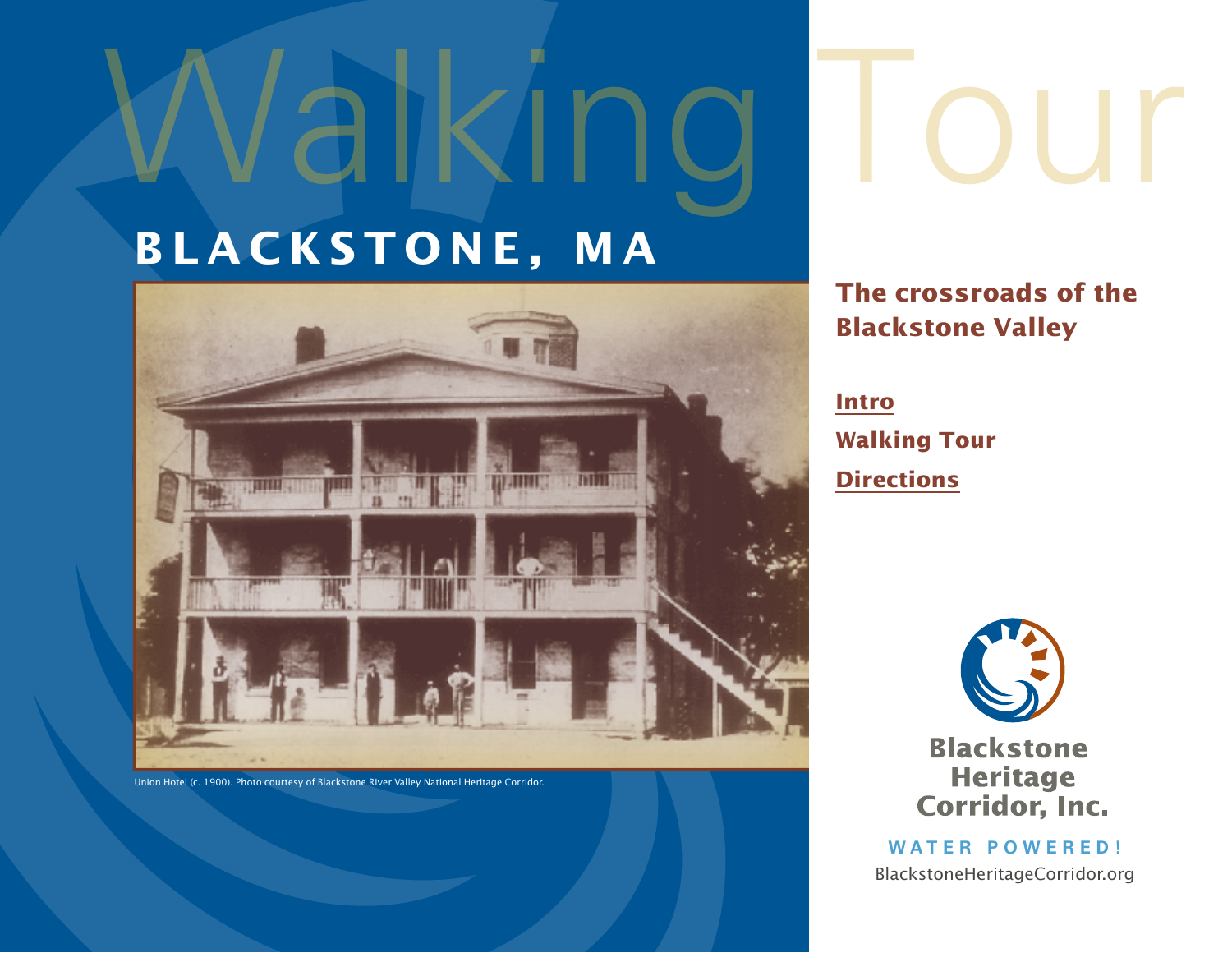# **blackstone, ma**

Walking



Union Hotel (c. 1900). Photo courtesy of Blackstone River Valley National Heritage Corridor.

**The crossroads of the** 

**Blackstone Valley**

**[Intro](#page-1-0) [Walking Tour](#page-2-0) [Directions](#page-6-0)**



**Blackstone Heritage Corridor, Inc.** 

**Water Po w ered!** BlackstoneHeritageCorridor.org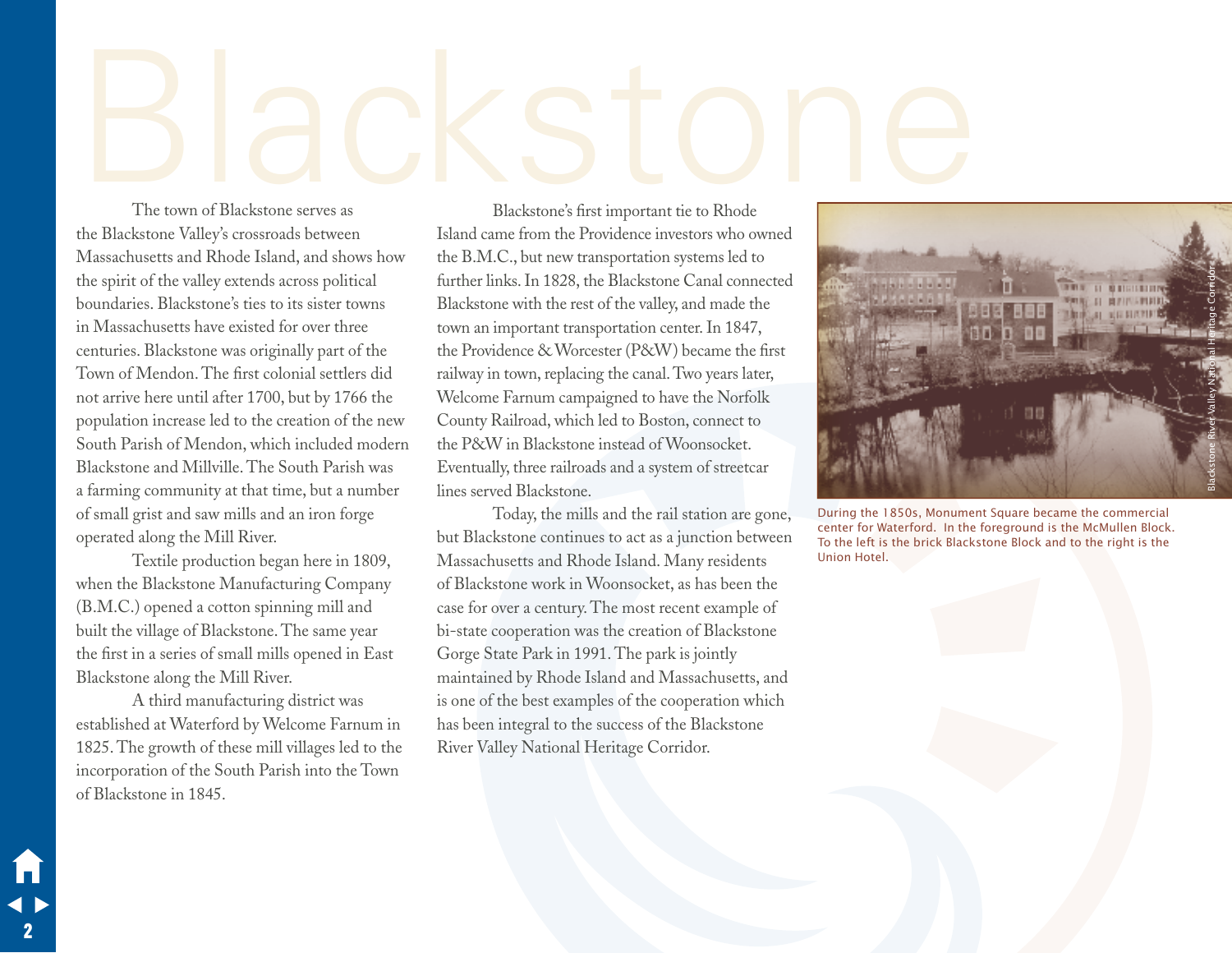# <span id="page-1-0"></span>Blackstone serves as<br>The town of Blackstone serves as

The town of Blackstone serves as the Blackstone Valley's crossroads between Massachusetts and Rhode Island, and shows how the spirit of the valley extends across political boundaries. Blackstone's ties to its sister towns in Massachusetts have existed for over three centuries. Blackstone was originally part of the Town of Mendon. The first colonial settlers did not arrive here until after 1700, but by 1766 the population increase led to the creation of the new South Parish of Mendon, which included modern Blackstone and Millville. The South Parish was a farming community at that time, but a number of small grist and saw mills and an iron forge operated along the Mill River.

Textile production began here in 1809, when the Blackstone Manufacturing Company (B.M.C.) opened a cotton spinning mill and built the village of Blackstone. The same year the first in a series of small mills opened in East Blackstone along the Mill River.

A third manufacturing district was established at Waterford by Welcome Farnum in 1825. The growth of these mill villages led to the incorporation of the South Parish into the Town of Blackstone in 1845.

2

Blackstone's first important tie to Rhode Island came from the Providence investors who owned the B.M.C., but new transportation systems led to further links. In 1828, the Blackstone Canal connected Blackstone with the rest of the valley, and made the town an important transportation center. In 1847, the Providence & Worcester (P&W) became the first railway in town, replacing the canal. Two years later, Welcome Farnum campaigned to have the Norfolk County Railroad, which led to Boston, connect to the P&W in Blackstone instead of Woonsocket. Eventually, three railroads and a system of streetcar lines served Blackstone.

Today, the mills and the rail station are gone, but Blackstone continues to act as a junction between Massachusetts and Rhode Island. Many residents of Blackstone work in Woonsocket, as has been the case for over a century. The most recent example of bi-state cooperation was the creation of Blackstone Gorge State Park in 1991. The park is jointly maintained by Rhode Island and Massachusetts, and is one of the best examples of the cooperation which has been integral to the success of the Blackstone River Valley National Heritage Corridor.



During the 1850s, Monument Square became the commercial center for Waterford. In the foreground is the McMullen Block. To the left is the brick Blackstone Block and to the right is the Union Hotel.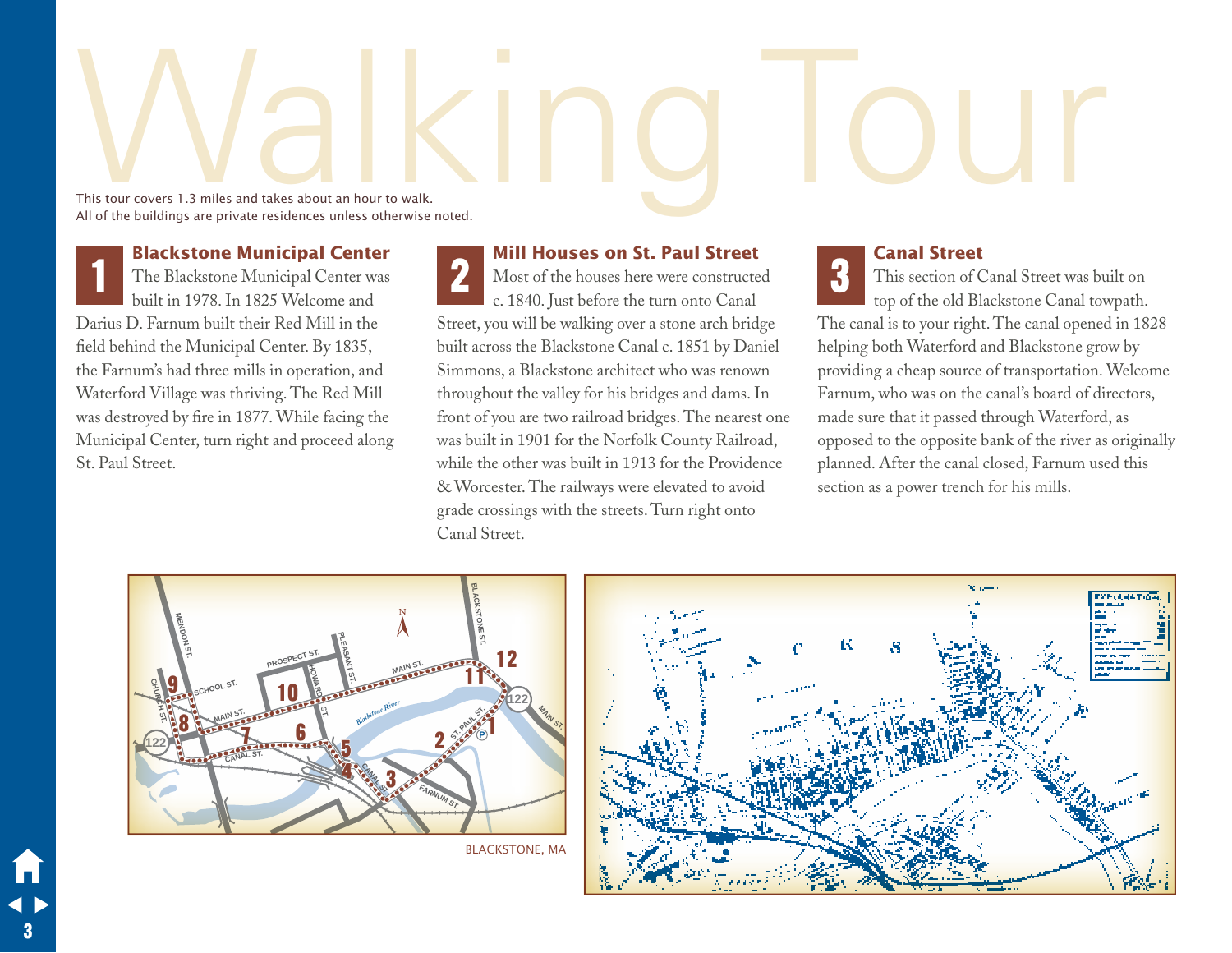# <span id="page-2-0"></span>This tour covers 1.3 miles and takes about an hour to walk. This tour covers 1.3 miles and takes about an hour to walk. All of the buildings are private residences unless otherwise noted.

**Blackstone Municipal Center**

The Blackstone Municipal Center was built in 1978. In 1825 Welcome and Darius D. Farnum built their Red Mill in the field behind the Municipal Center. By 1835, the Farnum's had three mills in operation, and Waterford Village was thriving. The Red Mill was destroyed by fire in 1877. While facing the Municipal Center, turn right and proceed along St. Paul Street. 1

 **Mill Houses on St. Paul Street**

Most of the houses here were constructed c. 1840. Just before the turn onto Canal Street, you will be walking over a stone arch bridge built across the Blackstone Canal c. 1851 by Daniel Simmons, a Blackstone architect who was renown throughout the valley for his bridges and dams. In front of you are two railroad bridges. The nearest one was built in 1901 for the Norfolk County Railroad, while the other was built in 1913 for the Providence & Worcester. The railways were elevated to avoid grade crossings with the streets. Turn right onto Canal Street. 2

### **Canal Street**

This section of Canal Street was built on top of the old Blackstone Canal towpath. The canal is to your right. The canal opened in 1828 helping both Waterford and Blackstone grow by providing a cheap source of transportation. Welcome Farnum, who was on the canal's board of directors, made sure that it passed through Waterford, as opposed to the opposite bank of the river as originally planned. After the canal closed, Farnum used this section as a power trench for his mills. 3



blackstone, ma

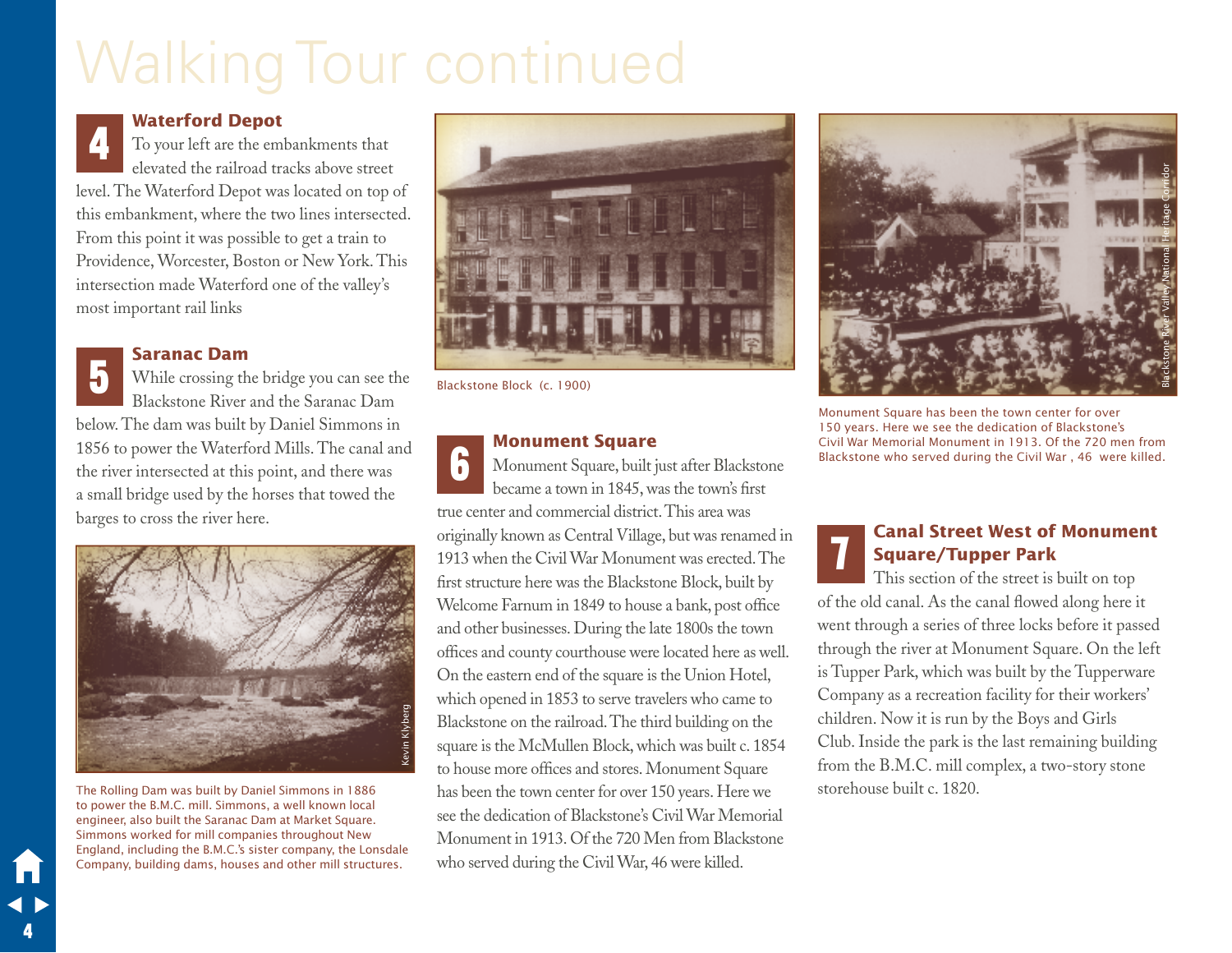# Walking Tour continued



### **Waterford Depot**

To your left are the embankments that elevated the railroad tracks above street level. The Waterford Depot was located on top of this embankment, where the two lines intersected. From this point it was possible to get a train to Providence, Worcester, Boston or New York. This intersection made Waterford one of the valley's most important rail links



4

### **Saranac Dam**

While crossing the bridge you can see the Blackstone River and the Saranac Dam below. The dam was built by Daniel Simmons in 1856 to power the Waterford Mills. The canal and the river intersected at this point, and there was a small bridge used by the horses that towed the barges to cross the river here.



The Rolling Dam was built by Daniel Simmons in 1886 to power the B.M.C. mill. Simmons, a well known local engineer, also built the Saranac Dam at Market Square. Simmons worked for mill companies throughout New England, including the B.M.C.'s sister company, the Lonsdale Company, building dams, houses and other mill structures.



Blackstone Block (c. 1900)

### **Monument Square**

Monument Square, built just after Blackstone became a town in 1845, was the town's first true center and commercial district. This area was originally known as Central Village, but was renamed in 1913 when the Civil War Monument was erected. The first structure here was the Blackstone Block, built by Welcome Farnum in 1849 to house a bank, post office and other businesses. During the late 1800s the town offices and county courthouse were located here as well. On the eastern end of the square is the Union Hotel, which opened in 1853 to serve travelers who came to Blackstone on the railroad. The third building on the square is the McMullen Block, which was built c. 1854 to house more offices and stores. Monument Square has been the town center for over 150 years. Here we see the dedication of Blackstone's Civil War Memorial Monument in 1913. Of the 720 Men from Blackstone who served during the Civil War, 46 were killed. 6



Monument Square has been the town center for over 150 years. Here we see the dedication of Blackstone's Civil War Memorial Monument in 1913. Of the 720 men from Blackstone who served during the Civil War , 46 were killed.

## **Canal Street West of Monument Square/Tupper Park**

This section of the street is built on top of the old canal. As the canal flowed along here it went through a series of three locks before it passed through the river at Monument Square. On the left is Tupper Park, which was built by the Tupperware Company as a recreation facility for their workers' children. Now it is run by the Boys and Girls Club. Inside the park is the last remaining building from the B.M.C. mill complex, a two-story stone storehouse built c. 1820. 7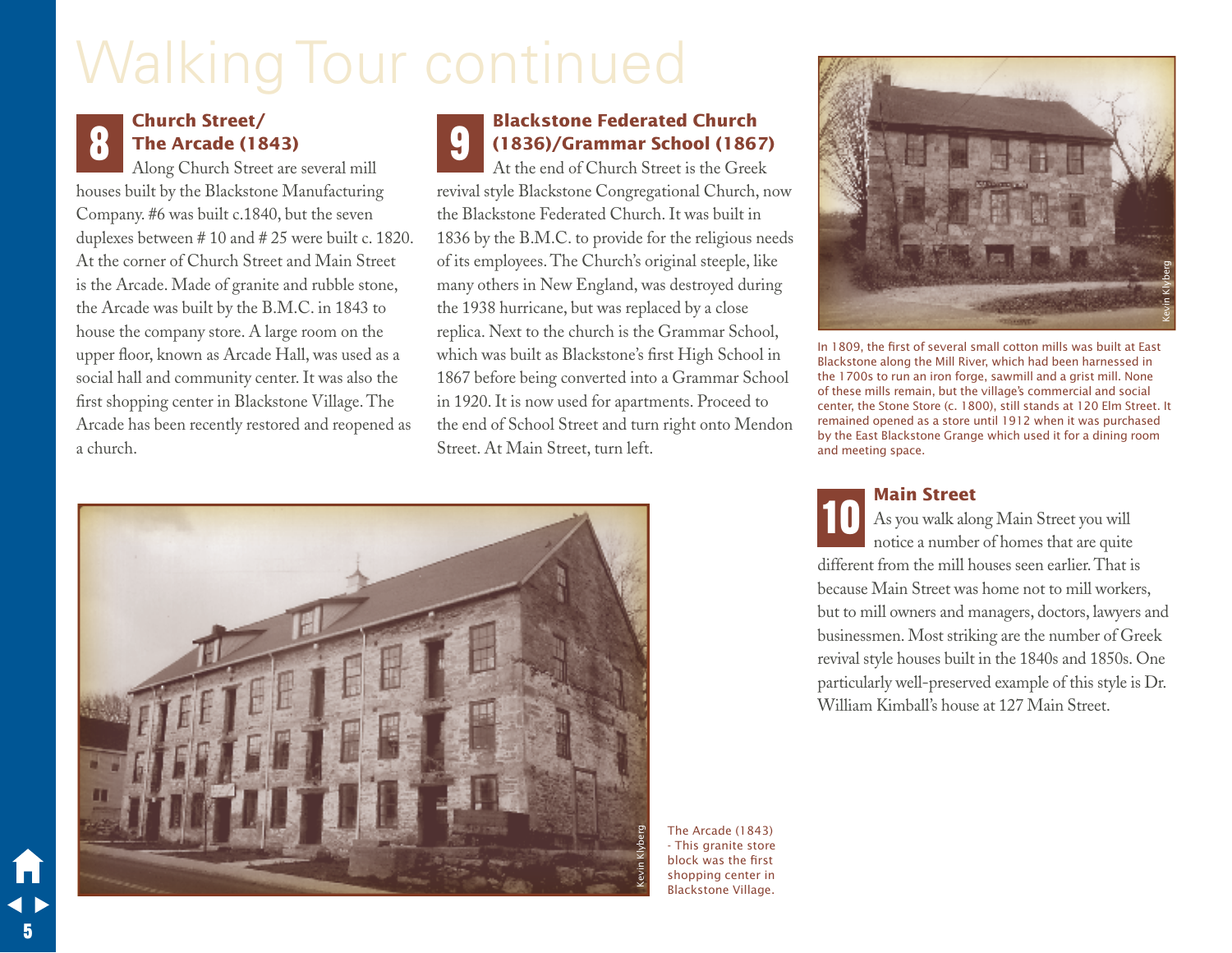# Walking Tour continued

# **Church Street/ The Arcade (1843)**

Along Church Street are several mill houses built by the Blackstone Manufacturing Company. #6 was built c.1840, but the seven duplexes between # 10 and # 25 were built c. 1820. At the corner of Church Street and Main Street is the Arcade. Made of granite and rubble stone, the Arcade was built by the B.M.C. in 1843 to house the company store. A large room on the upper floor, known as Arcade Hall, was used as a social hall and community center. It was also the first shopping center in Blackstone Village. The Arcade has been recently restored and reopened as a church.

# **Church Street/**<br>
The Arcade (1843)<br>
Alang Church Street are every limit and **Channel Container Street is the Creek**<br>
At the end of Church Street is the Creek **(1836)/Grammar School (1867)**

At the end of Church Street is the Greek revival style Blackstone Congregational Church, now the Blackstone Federated Church. It was built in 1836 by the B.M.C. to provide for the religious needs of its employees. The Church's original steeple, like many others in New England, was destroyed during the 1938 hurricane, but was replaced by a close replica. Next to the church is the Grammar School, which was built as Blackstone's first High School in 1867 before being converted into a Grammar School in 1920. It is now used for apartments. Proceed to the end of School Street and turn right onto Mendon Street. At Main Street, turn left. 9







In 1809, the first of several small cotton mills was built at East Blackstone along the Mill River, which had been harnessed in the 1700s to run an iron forge, sawmill and a grist mill. None of these mills remain, but the village's commercial and social center, the Stone Store (c. 1800), still stands at 120 Elm Street. It remained opened as a store until 1912 when it was purchased by the East Blackstone Grange which used it for a dining room and meeting space.

### **Main Street**

As you walk along Main Street you will notice a number of homes that are quite different from the mill houses seen earlier. That is because Main Street was home not to mill workers, but to mill owners and managers, doctors, lawyers and businessmen. Most striking are the number of Greek revival style houses built in the 1840s and 1850s. One particularly well-preserved example of this style is Dr. William Kimball's house at 127 Main Street. 10

5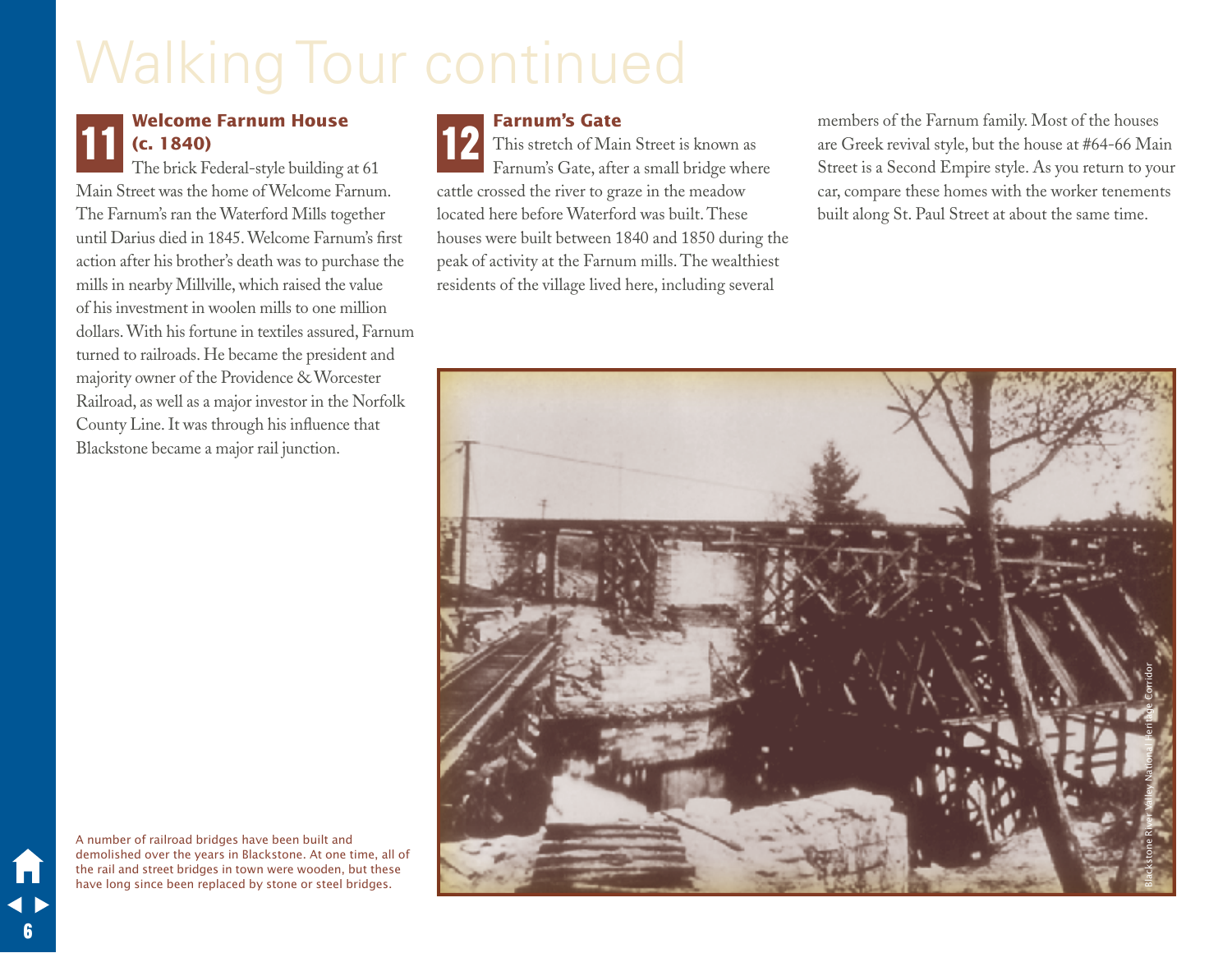# Walking Tour continued

# 11

# **Welcome Farnum House (c. 1840)**

The brick Federal-style building at 61 Main Street was the home of Welcome Farnum. The Farnum's ran the Waterford Mills together until Darius died in 1845. Welcome Farnum's first action after his brother's death was to purchase the mills in nearby Millville, which raised the value of his investment in woolen mills to one million dollars. With his fortune in textiles assured, Farnum turned to railroads. He became the president and majority owner of the Providence & Worcester Railroad, as well as a major investor in the Norfolk County Line. It was through his influence that Blackstone became a major rail junction.

**Farnum's Gate** This stretch of Main Street is known as Farnum's Gate, after a small bridge where cattle crossed the river to graze in the meadow located here before Waterford was built. These houses were built between 1840 and 1850 during the peak of activity at the Farnum mills. The wealthiest residents of the village lived here, including several

**12 Farnum's Gate**<br>
This stretch of Main Street is known as<br> **12** This stretch of Main Street is known as<br> **12** Thereum's Ceta after a small bridge where<br>
Streat is a Second Empire style. As you return to you are Greek revival style, but the house at #64-66 Main Street is a Second Empire style. As you return to your car, compare these homes with the worker tenements built along St. Paul Street at about the same time.



A number of railroad bridges have been built and demolished over the years in Blackstone. At one time, all of the rail and street bridges in town were wooden, but these have long since been replaced by stone or steel bridges.

6